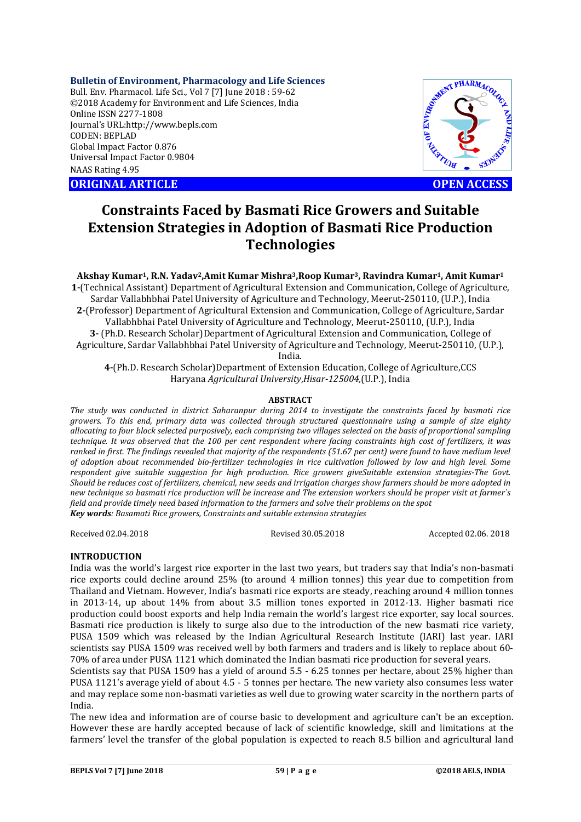### **Bulletin of Environment, Pharmacology and Life Sciences**

Bull. Env. Pharmacol. Life Sci., Vol 7 [7] June 2018 : 59-62 ©2018 Academy for Environment and Life Sciences, India Online ISSN 2277-1808 Journal's URL:http://www.bepls.com CODEN: BEPLAD Global Impact Factor 0.876 Universal Impact Factor 0.9804 NAAS Rating 4.95 CONTRACT CONSISTENT OF ENVIRONMENT ARTICLE **OPEN ACCESS** 



# **Constraints Faced by Basmati Rice Growers and Suitable Extension Strategies in Adoption of Basmati Rice Production Technologies**

**Akshay Kumar1, R.N. Yadav2,Amit Kumar Mishra3,Roop Kumar3, Ravindra Kumar1, Amit Kumar1**

**1-**(Technical Assistant) Department of Agricultural Extension and Communication, College of Agriculture, Sardar Vallabhbhai Patel University of Agriculture and Technology, Meerut-250110, (U.P.), India **2-**(Professor) Department of Agricultural Extension and Communication, College of Agriculture, Sardar Vallabhbhai Patel University of Agriculture and Technology, Meerut-250110, (U.P.), India **3-** (Ph.D. Research Scholar)Department of Agricultural Extension and Communication, College of Agriculture, Sardar Vallabhbhai Patel University of Agriculture and Technology, Meerut-250110, (U.P.),

India.

**4-**(Ph.D. Research Scholar)Department of Extension Education, College of Agriculture,CCS Haryana *Agricultural University*,*Hisar-125004,*(U.P.), India

### **ABSTRACT**

*The study was conducted in district Saharanpur during 2014 to investigate the constraints faced by basmati rice growers. To this end, primary data was collected through structured questionnaire using a sample of size eighty allocating to four block selected purposively, each comprising two villages selected on the basis of proportional sampling technique. It was observed that the 100 per cent respondent where facing constraints high cost of fertilizers, it was ranked in first. The findings revealed that majority of the respondents (51.67 per cent) were found to have medium level of adoption about recommended bio-fertilizer technologies in rice cultivation followed by low and high level. Some respondent give suitable suggestion for high production. Rice growers giveSuitable extension strategies-The Govt. Should be reduces cost of fertilizers, chemical, new seeds and irrigation charges show farmers should be more adopted in new technique so basmati rice production will be increase and The extension workers should be proper visit at farmer`s field and provide timely need based information to the farmers and solve their problems on the spot Key words: Basamati Rice growers, Constraints and suitable extension strategies*

Received 02.04.2018 Revised 30.05.2018 Accepted 02.06. 2018

### **INTRODUCTION**

India was the world's largest rice exporter in the last two years, but traders say that India's non-basmati rice exports could decline around 25% (to around 4 million tonnes) this year due to competition from Thailand and Vietnam. However, India's basmati rice exports are steady, reaching around 4 million tonnes in 2013-14, up about 14% from about 3.5 million tones exported in 2012-13. Higher basmati rice production could boost exports and help India remain the world's largest rice exporter, say local sources. Basmati rice production is likely to surge also due to the introduction of the new basmati rice variety, PUSA 1509 which was released by the Indian Agricultural Research Institute (IARI) last year. IARI scientists say PUSA 1509 was received well by both farmers and traders and is likely to replace about 60- 70% of area under PUSA 1121 which dominated the Indian basmati rice production for several years.

Scientists say that PUSA 1509 has a yield of around 5.5 - 6.25 tonnes per hectare, about 25% higher than PUSA 1121's average yield of about 4.5 - 5 tonnes per hectare. The new variety also consumes less water and may replace some non-basmati varieties as well due to growing water scarcity in the northern parts of India.

The new idea and information are of course basic to development and agriculture can't be an exception. However these are hardly accepted because of lack of scientific knowledge, skill and limitations at the farmers' level the transfer of the global population is expected to reach 8.5 billion and agricultural land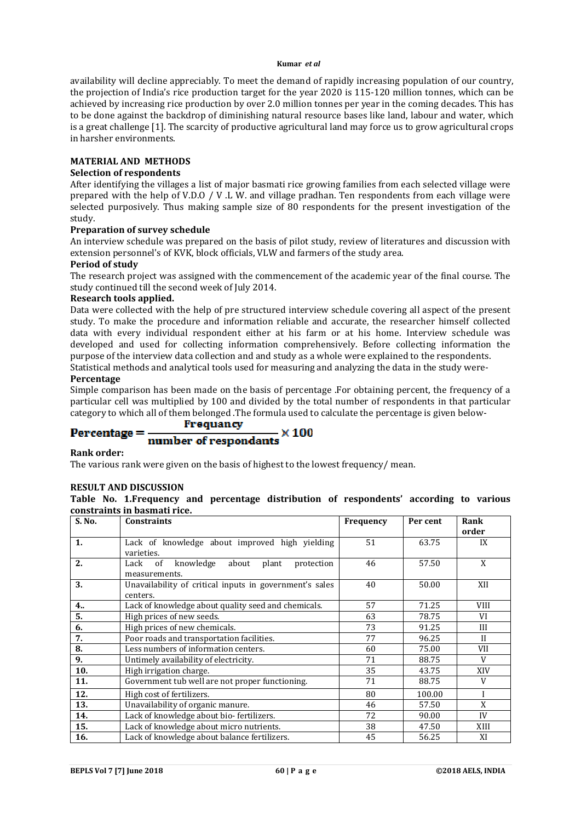### **Kumar** *et al*

availability will decline appreciably. To meet the demand of rapidly increasing population of our country, the projection of India's rice production target for the year 2020 is 115-120 million tonnes, which can be achieved by increasing rice production by over 2.0 million tonnes per year in the coming decades. This has to be done against the backdrop of diminishing natural resource bases like land, labour and water, which is a great challenge [1]. The scarcity of productive agricultural land may force us to grow agricultural crops in harsher environments.

### **MATERIAL AND METHODS**

### **Selection of respondents**

After identifying the villages a list of major basmati rice growing families from each selected village were prepared with the help of V.D.O / V .L W. and village pradhan. Ten respondents from each village were selected purposively. Thus making sample size of 80 respondents for the present investigation of the study.

### **Preparation of survey schedule**

An interview schedule was prepared on the basis of pilot study, review of literatures and discussion with extension personnel's of KVK, block officials, VLW and farmers of the study area.

### **Period of study**

The research project was assigned with the commencement of the academic year of the final course. The study continued till the second week of July 2014.

### **Research tools applied.**

Data were collected with the help of pre structured interview schedule covering all aspect of the present study. To make the procedure and information reliable and accurate, the researcher himself collected data with every individual respondent either at his farm or at his home. Interview schedule was developed and used for collecting information comprehensively. Before collecting information the purpose of the interview data collection and and study as a whole were explained to the respondents. Statistical methods and analytical tools used for measuring and analyzing the data in the study were-**Percentage**

Simple comparison has been made on the basis of percentage .For obtaining percent, the frequency of a particular cell was multiplied by 100 and divided by the total number of respondents in that particular category to which all of them belonged .The formula used to calculate the percentage is given below-

## **Frequancy**

### $Percentage =$  $\times 100$ number of respondants

## **Rank order:**

The various rank were given on the basis of highest to the lowest frequency/ mean.

### **RESULT AND DISCUSSION**

**Table No. 1.Frequency and percentage distribution of respondents' according to various constraints in basmati rice.**

| S. No.         | <b>Constraints</b>                                                       | Frequency | Per cent | Rank         |
|----------------|--------------------------------------------------------------------------|-----------|----------|--------------|
|                |                                                                          |           |          | order        |
| 1.             | Lack of knowledge about improved high yielding<br>varieties.             | 51        | 63.75    | IX           |
| 2.             | knowledge<br>Lack<br>of<br>about<br>plant<br>protection<br>measurements. | 46        | 57.50    | X            |
| 3.             | Unavailability of critical inputs in government's sales<br>centers.      | 40        | 50.00    | XII          |
| 4 <sub>1</sub> | Lack of knowledge about quality seed and chemicals.                      | 57        | 71.25    | <b>VIII</b>  |
| 5.             | High prices of new seeds.                                                | 63        | 78.75    | VI           |
| 6.             | High prices of new chemicals.                                            | 73        | 91.25    | Ш            |
| 7.             | Poor roads and transportation facilities.                                | 77        | 96.25    | $\mathbf{I}$ |
| 8.             | Less numbers of information centers.                                     | 60        | 75.00    | <b>VII</b>   |
| 9.             | Untimely availability of electricity.                                    | 71        | 88.75    | V            |
| 10.            | High irrigation charge.                                                  | 35        | 43.75    | XIV          |
| 11.            | Government tub well are not proper functioning.                          | 71        | 88.75    | V            |
| 12.            | High cost of fertilizers.                                                | 80        | 100.00   | I            |
| 13.            | Unavailability of organic manure.                                        | 46        | 57.50    | X            |
| 14.            | Lack of knowledge about bio-fertilizers.                                 | 72        | 90.00    | IV           |
| 15.            | Lack of knowledge about micro nutrients.                                 | 38        | 47.50    | XIII         |
| 16.            | Lack of knowledge about balance fertilizers.                             | 45        | 56.25    | XI           |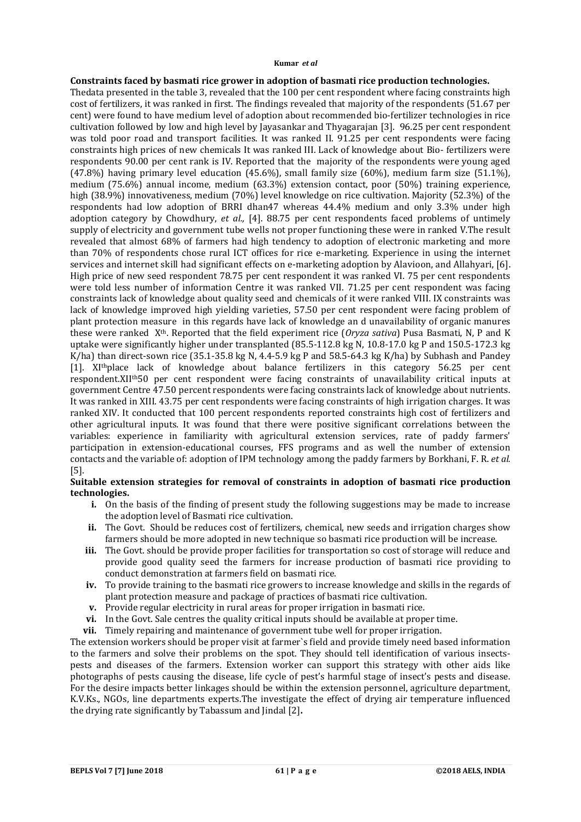### **Kumar** *et al*

### **Constraints faced by basmati rice grower in adoption of basmati rice production technologies.**

Thedata presented in the table 3, revealed that the 100 per cent respondent where facing constraints high cost of fertilizers, it was ranked in first. The findings revealed that majority of the respondents (51.67 per cent) were found to have medium level of adoption about recommended bio-fertilizer technologies in rice cultivation followed by low and high level by Jayasankar and Thyagarajan [3]. 96.25 per cent respondent was told poor road and transport facilities. It was ranked II. 91.25 per cent respondents were facing constraints high prices of new chemicals It was ranked III. Lack of knowledge about Bio- fertilizers were respondents 90.00 per cent rank is IV. Reported that the majority of the respondents were young aged (47.8%) having primary level education (45.6%), small family size (60%), medium farm size (51.1%), medium (75.6%) annual income, medium (63.3%) extension contact, poor (50%) training experience, high (38.9%) innovativeness, medium (70%) level knowledge on rice cultivation. Majority (52.3%) of the respondents had low adoption of BRRI dhan47 whereas 44.4% medium and only 3.3% under high adoption category by Chowdhury, *et al.,* [4]. 88.75 per cent respondents faced problems of untimely supply of electricity and government tube wells not proper functioning these were in ranked V.The result revealed that almost 68% of farmers had high tendency to adoption of electronic marketing and more than 70% of respondents chose rural ICT offices for rice e-marketing. Experience in using the internet services and internet skill had significant effects on e-marketing adoption by Alavioon, and Allahyari, [6]. High price of new seed respondent 78.75 per cent respondent it was ranked VI. 75 per cent respondents were told less number of information Centre it was ranked VII. 71.25 per cent respondent was facing constraints lack of knowledge about quality seed and chemicals of it were ranked VIII. IX constraints was lack of knowledge improved high yielding varieties, 57.50 per cent respondent were facing problem of plant protection measure in this regards have lack of knowledge an d unavailability of organic manures these were ranked Xth. Reported that the field experiment rice (*Oryza sativa*) Pusa Basmati, N, P and K uptake were significantly higher under transplanted (85.5-112.8 kg N, 10.8-17.0 kg P and 150.5-172.3 kg K/ha) than direct-sown rice (35.1-35.8 kg N, 4.4-5.9 kg P and 58.5-64.3 kg K/ha) by Subhash and Pandey [1]. XIthplace lack of knowledge about balance fertilizers in this category 56.25 per cent respondent.XIIth50 per cent respondent were facing constraints of unavailability critical inputs at government Centre 47.50 percent respondents were facing constraints lack of knowledge about nutrients. It was ranked in XIII. 43.75 per cent respondents were facing constraints of high irrigation charges. It was ranked XIV. It conducted that 100 percent respondents reported constraints high cost of fertilizers and other agricultural inputs. It was found that there were positive significant correlations between the variables: experience in familiarity with agricultural extension services, rate of paddy farmers' participation in extension-educational courses, FFS programs and as well the number of extension contacts and the variable of: adoption of IPM technology among the paddy farmers by Borkhani, F. R. *et al.* [5].

### **Suitable extension strategies for removal of constraints in adoption of basmati rice production technologies.**

- **i.** On the basis of the finding of present study the following suggestions may be made to increase the adoption level of Basmati rice cultivation.
- ii. The Govt. Should be reduces cost of fertilizers, chemical, new seeds and irrigation charges show farmers should be more adopted in new technique so basmati rice production will be increase.
- **iii.** The Govt. should be provide proper facilities for transportation so cost of storage will reduce and provide good quality seed the farmers for increase production of basmati rice providing to conduct demonstration at farmers field on basmati rice.
- **iv.** To provide training to the basmati rice growers to increase knowledge and skills in the regards of plant protection measure and package of practices of basmati rice cultivation.
- **v.** Provide regular electricity in rural areas for proper irrigation in basmati rice.
- **vi.** In the Govt. Sale centres the quality critical inputs should be available at proper time.
- **vii.** Timely repairing and maintenance of government tube well for proper irrigation.

The extension workers should be proper visit at farmer`s field and provide timely need based information to the farmers and solve their problems on the spot. They should tell identification of various insectspests and diseases of the farmers. Extension worker can support this strategy with other aids like photographs of pests causing the disease, life cycle of pest's harmful stage of insect's pests and disease. For the desire impacts better linkages should be within the extension personnel, agriculture department, K.V.Ks., NGOs, line departments experts.The investigate the effect of drying air temperature influenced the drying rate significantly by Tabassum and Jindal [2]**.**